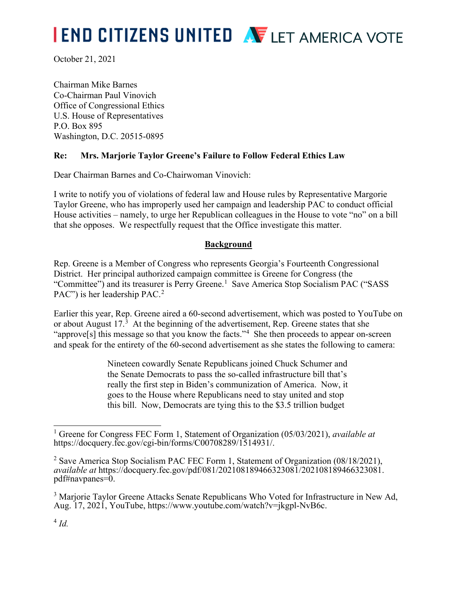# **I END CITIZENS UNITED AVELET AMERICA VOTE**

October 21, 2021

Chairman Mike Barnes Co-Chairman Paul Vinovich Office of Congressional Ethics U.S. House of Representatives P.O. Box 895 Washington, D.C. 20515-0895

## **Re: Mrs. Marjorie Taylor Greene's Failure to Follow Federal Ethics Law**

Dear Chairman Barnes and Co-Chairwoman Vinovich:

I write to notify you of violations of federal law and House rules by Representative Margorie Taylor Greene, who has improperly used her campaign and leadership PAC to conduct official House activities – namely, to urge her Republican colleagues in the House to vote "no" on a bill that she opposes. We respectfully request that the Office investigate this matter.

### **Background**

Rep. Greene is a Member of Congress who represents Georgia's Fourteenth Congressional District. Her principal authorized campaign committee is Greene for Congress (the "Committee") and its treasurer is Perry Greene.<sup>1</sup> Save America Stop Socialism PAC ("SASS PAC") is her leadership PAC.<sup>2</sup>

Earlier this year, Rep. Greene aired a 60-second advertisement, which was posted to YouTube on or about August 17.<sup>3</sup> At the beginning of the advertisement, Rep. Greene states that she "approve[s] this message so that you know the facts."<sup>4</sup> She then proceeds to appear on-screen and speak for the entirety of the 60-second advertisement as she states the following to camera:

> Nineteen cowardly Senate Republicans joined Chuck Schumer and the Senate Democrats to pass the so-called infrastructure bill that's really the first step in Biden's communization of America. Now, it goes to the House where Republicans need to stay united and stop this bill. Now, Democrats are tying this to the \$3.5 trillion budget

<sup>1</sup> Greene for Congress FEC Form 1, Statement of Organization (05/03/2021), *available at* [https://docquery.fec.gov/cgi-bin/forms/C00708289/1514931/.](https://docquery.fec.gov/cgi-bin/forms/C00708289/1514931/)

<sup>2</sup> Save America Stop Socialism PAC FEC Form 1, Statement of Organization (08/18/2021), *available at* https://docquery.fec.gov/pdf/081/202108189466323081/202108189466323081. pdf#navpanes=0.

<sup>&</sup>lt;sup>3</sup> Marjorie Taylor Greene Attacks Senate Republicans Who Voted for Infrastructure in New Ad, Aug. 17, 2021, YouTube, [https://www.youtube.com/watch?v=jkgpl-NvB6c.](https://www.youtube.com/watch?v=jkgpl-NvB6c)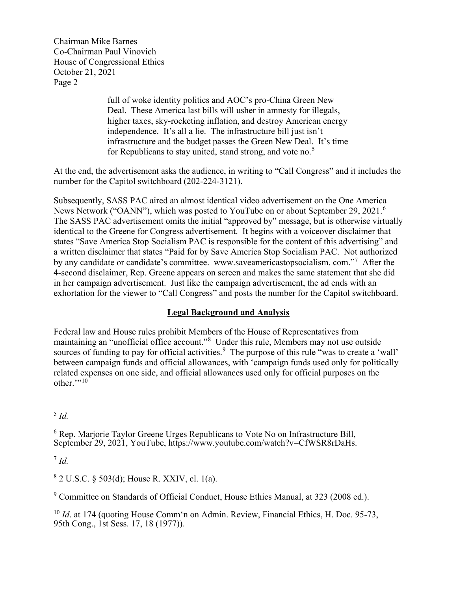Chairman Mike Barnes Co-Chairman Paul Vinovich House of Congressional Ethics October 21, 2021 Page 2

> full of woke identity politics and AOC's pro-China Green New Deal. These America last bills will usher in amnesty for illegals, higher taxes, sky-rocketing inflation, and destroy American energy independence. It's all a lie. The infrastructure bill just isn't infrastructure and the budget passes the Green New Deal. It's time for Republicans to stay united, stand strong, and vote no.<sup>5</sup>

At the end, the advertisement asks the audience, in writing to "Call Congress" and it includes the number for the Capitol switchboard (202-224-3121).

Subsequently, SASS PAC aired an almost identical video advertisement on the One America News Network ("OANN"), which was posted to YouTube on or about September 29, 2021.<sup>6</sup> The SASS PAC advertisement omits the initial "approved by" message, but is otherwise virtually identical to the Greene for Congress advertisement. It begins with a voiceover disclaimer that states "Save America Stop Socialism PAC is responsible for the content of this advertising" and a written disclaimer that states "Paid for by Save America Stop Socialism PAC. Not authorized by any candidate or candidate's committee. www.saveamericastopsocialism. com."<sup>7</sup> After the 4-second disclaimer, Rep. Greene appears on screen and makes the same statement that she did in her campaign advertisement. Just like the campaign advertisement, the ad ends with an exhortation for the viewer to "Call Congress" and posts the number for the Capitol switchboard.

### **Legal Background and Analysis**

Federal law and House rules prohibit Members of the House of Representatives from maintaining an "unofficial office account."<sup>8</sup> Under this rule, Members may not use outside sources of funding to pay for official activities.<sup>9</sup> The purpose of this rule "was to create a 'wall' between campaign funds and official allowances, with 'campaign funds used only for politically related expenses on one side, and official allowances used only for official purposes on the other. $"$ <sup>10</sup>

<sup>5</sup> *Id.*

<sup>7</sup> *Id.*

 $8$  2 U.S.C. § 503(d); House R. XXIV, cl. 1(a).

<sup>9</sup> Committee on Standards of Official Conduct, House Ethics Manual, at 323 (2008 ed.).

<sup>10</sup> *Id.* at 174 (quoting House Comm'n on Admin. Review, Financial Ethics, H. Doc. 95-73, 95th Cong., 1st Sess. 17, 18 (1977)).

<sup>6</sup> Rep. Marjorie Taylor Greene Urges Republicans to Vote No on Infrastructure Bill, September 29, 2021, YouTube, https://www.youtube.com/watch?v=CfWSR8rDaHs.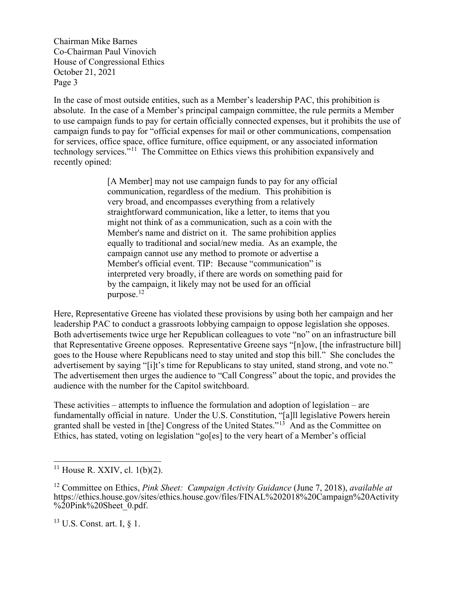Chairman Mike Barnes Co-Chairman Paul Vinovich House of Congressional Ethics October 21, 2021 Page 3

In the case of most outside entities, such as a Member's leadership PAC, this prohibition is absolute. In the case of a Member's principal campaign committee, the rule permits a Member to use campaign funds to pay for certain officially connected expenses, but it prohibits the use of campaign funds to pay for "official expenses for mail or other communications, compensation for services, office space, office furniture, office equipment, or any associated information technology services."11 The Committee on Ethics views this prohibition expansively and recently opined:

> [A Member] may not use campaign funds to pay for any official communication, regardless of the medium. This prohibition is very broad, and encompasses everything from a relatively straightforward communication, like a letter, to items that you might not think of as a communication, such as a coin with the Member's name and district on it. The same prohibition applies equally to traditional and social/new media. As an example, the campaign cannot use any method to promote or advertise a Member's official event. TIP: Because "communication" is interpreted very broadly, if there are words on something paid for by the campaign, it likely may not be used for an official purpose. 12

Here, Representative Greene has violated these provisions by using both her campaign and her leadership PAC to conduct a grassroots lobbying campaign to oppose legislation she opposes. Both advertisements twice urge her Republican colleagues to vote "no" on an infrastructure bill that Representative Greene opposes. Representative Greene says "[n]ow, [the infrastructure bill] goes to the House where Republicans need to stay united and stop this bill." She concludes the advertisement by saying "[i]t's time for Republicans to stay united, stand strong, and vote no." The advertisement then urges the audience to "Call Congress" about the topic, and provides the audience with the number for the Capitol switchboard.

These activities – attempts to influence the formulation and adoption of legislation – are fundamentally official in nature. Under the U.S. Constitution, "[a]ll legislative Powers herein granted shall be vested in [the] Congress of the United States."13 And as the Committee on Ethics, has stated, voting on legislation "go[es] to the very heart of a Member's official

 $13$  U.S. Const. art. I,  $\S$  1.

 $11$  House R. XXIV, cl. 1(b)(2).

<sup>12</sup> Committee on Ethics, *Pink Sheet: Campaign Activity Guidance* (June 7, 2018), *available at* https://ethics.house.gov/sites/ethics.house.gov/files/FINAL%202018%20Campaign%20Activity %20Pink%20Sheet\_0.pdf.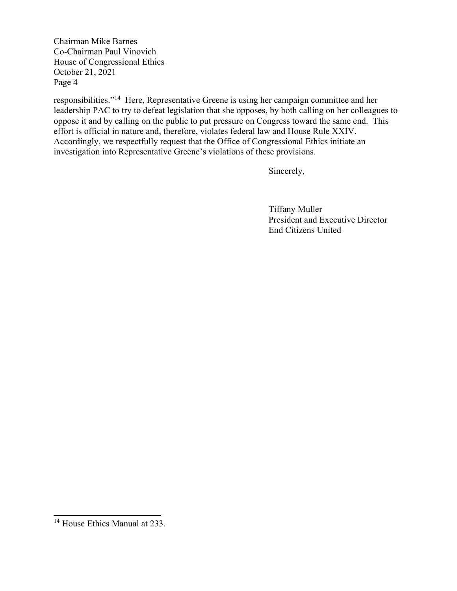Chairman Mike Barnes Co-Chairman Paul Vinovich House of Congressional Ethics October 21, 2021 Page 4

responsibilities."<sup>14</sup> Here, Representative Greene is using her campaign committee and her leadership PAC to try to defeat legislation that she opposes, by both calling on her colleagues to oppose it and by calling on the public to put pressure on Congress toward the same end. This effort is official in nature and, therefore, violates federal law and House Rule XXIV. Accordingly, we respectfully request that the Office of Congressional Ethics initiate an investigation into Representative Greene's violations of these provisions.

Sincerely,

Tiffany Muller President and Executive Director End Citizens United

<sup>&</sup>lt;sup>14</sup> House Ethics Manual at 233.